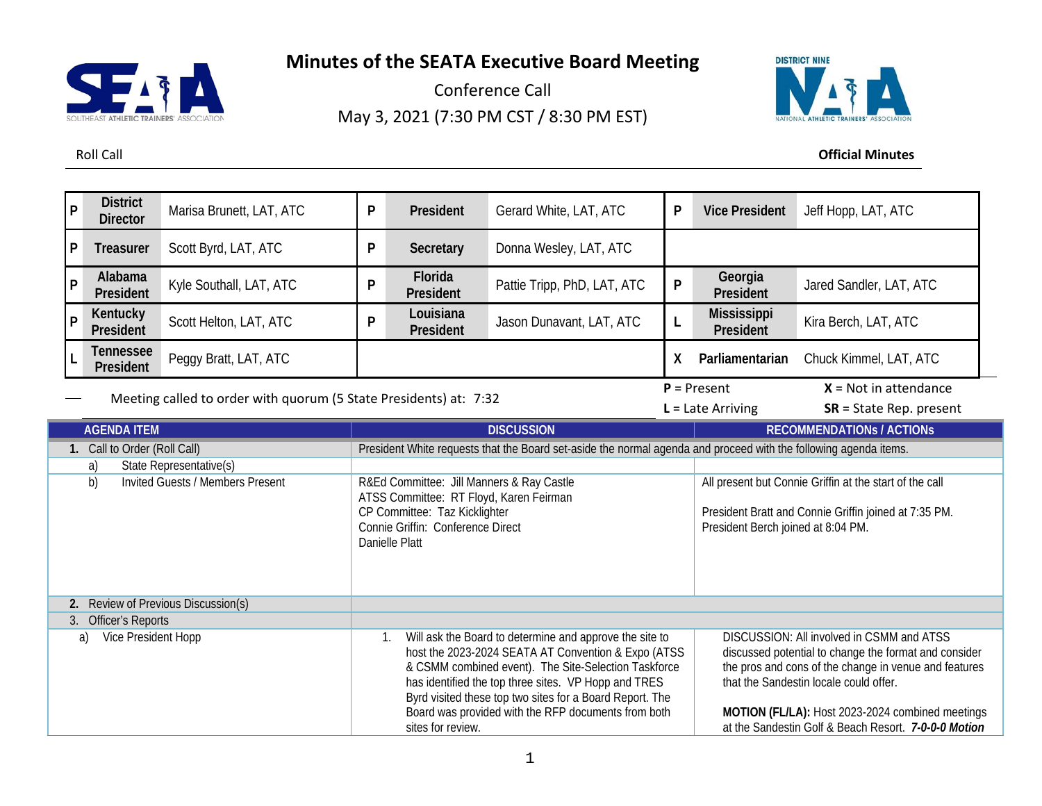# **Minutes of the SEATA Executive Board Meeting**



Conference Call May 3, 2021 (7:30 PM CST / 8:30 PM EST)



Roll Call **Official Minutes**

| P | <b>District</b><br><b>Director</b>   | Marisa Brunett, LAT, ATC                                          | P | President                                 | Gerard White, LAT, ATC                                                                                           | P  | <b>Vice President</b>              | Jeff Hopp, LAT, ATC                                     |
|---|--------------------------------------|-------------------------------------------------------------------|---|-------------------------------------------|------------------------------------------------------------------------------------------------------------------|----|------------------------------------|---------------------------------------------------------|
| P | Treasurer                            | Scott Byrd, LAT, ATC                                              | P | Secretary                                 | Donna Wesley, LAT, ATC                                                                                           |    |                                    |                                                         |
| P | Alabama<br><b>President</b>          | Kyle Southall, LAT, ATC                                           | P | Florida<br>President                      | Pattie Tripp, PhD, LAT, ATC                                                                                      | P  | Georgia<br>President               | Jared Sandler, LAT, ATC                                 |
| P | Kentucky<br>President                | Scott Helton, LAT, ATC                                            | P | Louisiana<br>President                    | Jason Dunavant, LAT, ATC                                                                                         |    | <b>Mississippi</b><br>President    | Kira Berch, LAT, ATC                                    |
|   | <b>Tennessee</b><br><b>President</b> | Peggy Bratt, LAT, ATC                                             |   |                                           |                                                                                                                  | X. | Parliamentarian                    | Chuck Kimmel, LAT, ATC                                  |
|   |                                      |                                                                   |   |                                           |                                                                                                                  |    |                                    |                                                         |
|   |                                      |                                                                   |   |                                           |                                                                                                                  |    | $P = Present$                      | $X = Not in attendance$                                 |
|   |                                      | Meeting called to order with quorum (5 State Presidents) at: 7:32 |   |                                           |                                                                                                                  |    | $L =$ Late Arriving                | $SR = State Rep. present$                               |
|   | <b>AGENDA ITEM</b>                   |                                                                   |   |                                           | <b>DISCUSSION</b>                                                                                                |    |                                    | <b>RECOMMENDATIONS / ACTIONS</b>                        |
|   | 1. Call to Order (Roll Call)         |                                                                   |   |                                           | President White requests that the Board set-aside the normal agenda and proceed with the following agenda items. |    |                                    |                                                         |
|   | a)                                   | State Representative(s)                                           |   |                                           |                                                                                                                  |    |                                    |                                                         |
|   | b)                                   | <b>Invited Guests / Members Present</b>                           |   | R&Ed Committee: Jill Manners & Ray Castle |                                                                                                                  |    |                                    | All present but Connie Griffin at the start of the call |
|   |                                      |                                                                   |   | ATSS Committee: RT Floyd, Karen Feirman   |                                                                                                                  |    |                                    |                                                         |
|   |                                      |                                                                   |   | CP Committee: Taz Kicklighter             |                                                                                                                  |    |                                    | President Bratt and Connie Griffin joined at 7:35 PM.   |
|   |                                      |                                                                   |   | Connie Griffin: Conference Direct         |                                                                                                                  |    | President Berch joined at 8:04 PM. |                                                         |
|   |                                      |                                                                   |   | Danielle Platt                            |                                                                                                                  |    |                                    |                                                         |
|   |                                      |                                                                   |   |                                           |                                                                                                                  |    |                                    |                                                         |

| Officer's Reports         |                                                                                                                                                                                                                                   |                                                                                                                                                                                                       |
|---------------------------|-----------------------------------------------------------------------------------------------------------------------------------------------------------------------------------------------------------------------------------|-------------------------------------------------------------------------------------------------------------------------------------------------------------------------------------------------------|
| Vice President Hopp<br>a) | 1. Will ask the Board to determine and approve the site to<br>host the 2023-2024 SEATA AT Convention & Expo (ATSS<br>& CSMM combined event). The Site-Selection Taskforce<br>has identified the top three sites. VP Hopp and TRES | DISCUSSION: All involved in CSMM and ATSS<br>discussed potential to change the format and consider<br>the pros and cons of the change in venue and features<br>that the Sandestin locale could offer. |
|                           | Byrd visited these top two sites for a Board Report. The<br>Board was provided with the RFP documents from both<br>sites for review.                                                                                              | MOTION (FL/LA): Host 2023-2024 combined meetings<br>at the Sandestin Golf & Beach Resort. 7-0-0-0 Motion                                                                                              |